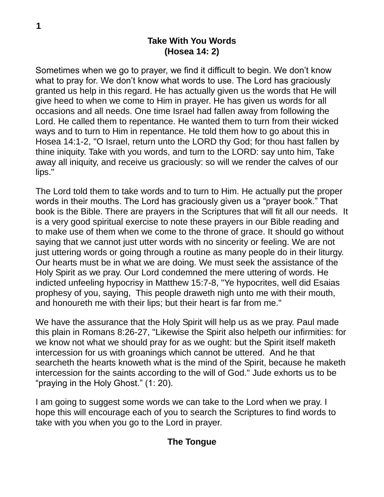# **Take With You Words (Hosea 14: 2)**

Sometimes when we go to prayer, we find it difficult to begin. We don't know what to pray for. We don't know what words to use. The Lord has graciously granted us help in this regard. He has actually given us the words that He will give heed to when we come to Him in prayer. He has given us words for all occasions and all needs. One time Israel had fallen away from following the Lord. He called them to repentance. He wanted them to turn from their wicked ways and to turn to Him in repentance. He told them how to go about this in Hosea 14:1-2, "O Israel, return unto the LORD thy God; for thou hast fallen by thine iniquity. Take with you words, and turn to the LORD: say unto him, Take away all iniquity, and receive us graciously: so will we render the calves of our lips."

The Lord told them to take words and to turn to Him. He actually put the proper words in their mouths. The Lord has graciously given us a "prayer book." That book is the Bible. There are prayers in the Scriptures that will fit all our needs. It is a very good spiritual exercise to note these prayers in our Bible reading and to make use of them when we come to the throne of grace. It should go without saying that we cannot just utter words with no sincerity or feeling. We are not just uttering words or going through a routine as many people do in their liturgy. Our hearts must be in what we are doing. We must seek the assistance of the Holy Spirit as we pray. Our Lord condemned the mere uttering of words. He indicted unfeeling hypocrisy in Matthew 15:7-8, "Ye hypocrites, well did Esaias prophesy of you, saying, This people draweth nigh unto me with their mouth, and honoureth me with their lips; but their heart is far from me."

We have the assurance that the Holy Spirit will help us as we pray. Paul made this plain in Romans 8:26-27, "Likewise the Spirit also helpeth our infirmities: for we know not what we should pray for as we ought: but the Spirit itself maketh intercession for us with groanings which cannot be uttered. And he that searcheth the hearts knoweth what is the mind of the Spirit, because he maketh intercession for the saints according to the will of God." Jude exhorts us to be "praying in the Holy Ghost." (1: 20).

I am going to suggest some words we can take to the Lord when we pray. I hope this will encourage each of you to search the Scriptures to find words to take with you when you go to the Lord in prayer.

## **The Tongue**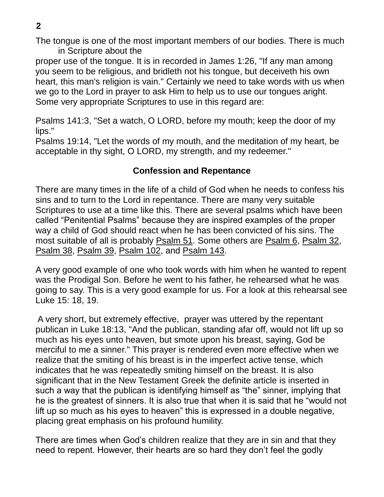**2**

The tongue is one of the most important members of our bodies. There is much in Scripture about the

proper use of the tongue. It is in recorded in James 1:26, "If any man among you seem to be religious, and bridleth not his tongue, but deceiveth his own heart, this man's religion is vain." Certainly we need to take words with us when we go to the Lord in prayer to ask Him to help us to use our tongues aright. Some very appropriate Scriptures to use in this regard are:

Psalms 141:3, "Set a watch, O LORD, before my mouth; keep the door of my lips."

Psalms 19:14, "Let the words of my mouth, and the meditation of my heart, be acceptable in thy sight, O LORD, my strength, and my redeemer."

# **Confession and Repentance**

There are many times in the life of a child of God when he needs to confess his sins and to turn to the Lord in repentance. There are many very suitable Scriptures to use at a time like this. There are several psalms which have been called "Penitential Psalms" because they are inspired examples of the proper way a child of God should react when he has been convicted of his sins. The most suitable of all is probably Psalm 51. Some others are Psalm 6, Psalm 32, Psalm 38, Psalm 39, Psalm 102, and Psalm 143.

A very good example of one who took words with him when he wanted to repent was the Prodigal Son. Before he went to his father, he rehearsed what he was going to say. This is a very good example for us. For a look at this rehearsal see Luke 15: 18, 19.

A very short, but extremely effective, prayer was uttered by the repentant publican in Luke 18:13, "And the publican, standing afar off, would not lift up so much as his eyes unto heaven, but smote upon his breast, saying, God be merciful to me a sinner." This prayer is rendered even more effective when we realize that the smiting of his breast is in the imperfect active tense, which indicates that he was repeatedly smiting himself on the breast. It is also significant that in the New Testament Greek the definite article is inserted in such a way that the publican is identifying himself as "the" sinner, implying that he is the greatest of sinners. It is also true that when it is said that he "would not lift up so much as his eyes to heaven" this is expressed in a double negative, placing great emphasis on his profound humility.

There are times when God's children realize that they are in sin and that they need to repent. However, their hearts are so hard they don't feel the godly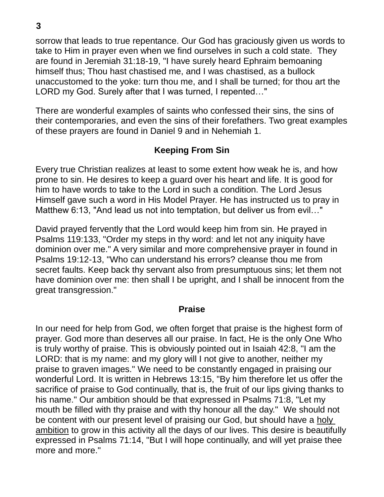sorrow that leads to true repentance. Our God has graciously given us words to take to Him in prayer even when we find ourselves in such a cold state. They are found in Jeremiah 31:18-19, "I have surely heard Ephraim bemoaning himself thus; Thou hast chastised me, and I was chastised, as a bullock unaccustomed to the yoke: turn thou me, and I shall be turned; for thou art the LORD my God. Surely after that I was turned, I repented…"

There are wonderful examples of saints who confessed their sins, the sins of their contemporaries, and even the sins of their forefathers. Two great examples of these prayers are found in Daniel 9 and in Nehemiah 1.

# **Keeping From Sin**

Every true Christian realizes at least to some extent how weak he is, and how prone to sin. He desires to keep a guard over his heart and life. It is good for him to have words to take to the Lord in such a condition. The Lord Jesus Himself gave such a word in His Model Prayer. He has instructed us to pray in Matthew 6:13, "And lead us not into temptation, but deliver us from evil…"

David prayed fervently that the Lord would keep him from sin. He prayed in Psalms 119:133, "Order my steps in thy word: and let not any iniquity have dominion over me." A very similar and more comprehensive prayer in found in Psalms 19:12-13, "Who can understand his errors? cleanse thou me from secret faults. Keep back thy servant also from presumptuous sins; let them not have dominion over me: then shall I be upright, and I shall be innocent from the great transgression."

#### **Praise**

In our need for help from God, we often forget that praise is the highest form of prayer. God more than deserves all our praise. In fact, He is the only One Who is truly worthy of praise. This is obviously pointed out in Isaiah 42:8, "I am the LORD: that is my name: and my glory will I not give to another, neither my praise to graven images." We need to be constantly engaged in praising our wonderful Lord. It is written in Hebrews 13:15, "By him therefore let us offer the sacrifice of praise to God continually, that is, the fruit of our lips giving thanks to his name." Our ambition should be that expressed in Psalms 71:8, "Let my mouth be filled with thy praise and with thy honour all the day." We should not be content with our present level of praising our God, but should have a holy ambition to grow in this activity all the days of our lives. This desire is beautifully expressed in Psalms 71:14, "But I will hope continually, and will yet praise thee more and more."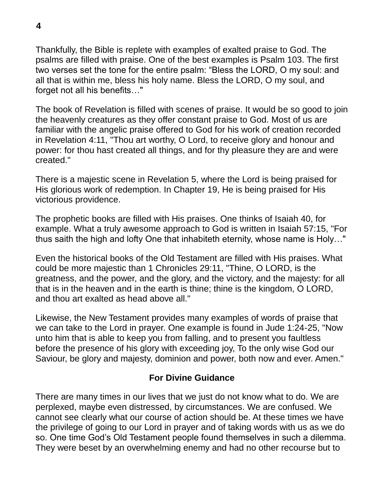Thankfully, the Bible is replete with examples of exalted praise to God. The psalms are filled with praise. One of the best examples is Psalm 103. The first two verses set the tone for the entire psalm: "Bless the LORD, O my soul: and all that is within me, bless his holy name. Bless the LORD, O my soul, and forget not all his benefits…"

The book of Revelation is filled with scenes of praise. It would be so good to join the heavenly creatures as they offer constant praise to God. Most of us are familiar with the angelic praise offered to God for his work of creation recorded in Revelation 4:11, "Thou art worthy, O Lord, to receive glory and honour and power: for thou hast created all things, and for thy pleasure they are and were created."

There is a majestic scene in Revelation 5, where the Lord is being praised for His glorious work of redemption. In Chapter 19, He is being praised for His victorious providence.

The prophetic books are filled with His praises. One thinks of Isaiah 40, for example. What a truly awesome approach to God is written in Isaiah 57:15, "For thus saith the high and lofty One that inhabiteth eternity, whose name is Holy…"

Even the historical books of the Old Testament are filled with His praises. What could be more majestic than 1 Chronicles 29:11, "Thine, O LORD, is the greatness, and the power, and the glory, and the victory, and the majesty: for all that is in the heaven and in the earth is thine; thine is the kingdom, O LORD, and thou art exalted as head above all."

Likewise, the New Testament provides many examples of words of praise that we can take to the Lord in prayer. One example is found in Jude 1:24-25, "Now unto him that is able to keep you from falling, and to present you faultless before the presence of his glory with exceeding joy, To the only wise God our Saviour, be glory and majesty, dominion and power, both now and ever. Amen."

## **For Divine Guidance**

There are many times in our lives that we just do not know what to do. We are perplexed, maybe even distressed, by circumstances. We are confused. We cannot see clearly what our course of action should be. At these times we have the privilege of going to our Lord in prayer and of taking words with us as we do so. One time God's Old Testament people found themselves in such a dilemma. They were beset by an overwhelming enemy and had no other recourse but to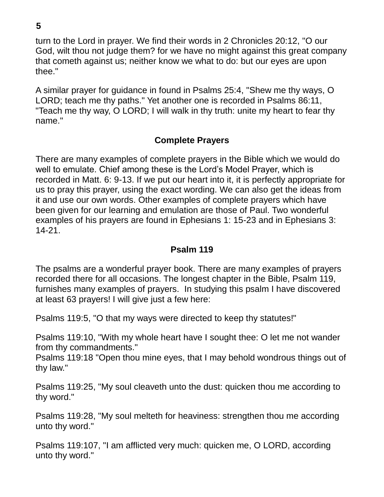turn to the Lord in prayer. We find their words in 2 Chronicles 20:12, "O our God, wilt thou not judge them? for we have no might against this great company that cometh against us; neither know we what to do: but our eyes are upon thee."

A similar prayer for guidance in found in Psalms 25:4, "Shew me thy ways, O LORD; teach me thy paths." Yet another one is recorded in Psalms 86:11, "Teach me thy way, O LORD; I will walk in thy truth: unite my heart to fear thy name."

#### **Complete Prayers**

There are many examples of complete prayers in the Bible which we would do well to emulate. Chief among these is the Lord's Model Prayer, which is recorded in Matt. 6: 9-13. If we put our heart into it, it is perfectly appropriate for us to pray this prayer, using the exact wording. We can also get the ideas from it and use our own words. Other examples of complete prayers which have been given for our learning and emulation are those of Paul. Two wonderful examples of his prayers are found in Ephesians 1: 15-23 and in Ephesians 3: 14-21.

#### **Psalm 119**

The psalms are a wonderful prayer book. There are many examples of prayers recorded there for all occasions. The longest chapter in the Bible, Psalm 119, furnishes many examples of prayers. In studying this psalm I have discovered at least 63 prayers! I will give just a few here:

Psalms 119:5, "O that my ways were directed to keep thy statutes!"

Psalms 119:10, "With my whole heart have I sought thee: O let me not wander from thy commandments."

Psalms 119:18 "Open thou mine eyes, that I may behold wondrous things out of thy law."

Psalms 119:25, "My soul cleaveth unto the dust: quicken thou me according to thy word."

Psalms 119:28, "My soul melteth for heaviness: strengthen thou me according unto thy word."

Psalms 119:107, "I am afflicted very much: quicken me, O LORD, according unto thy word."

**5**